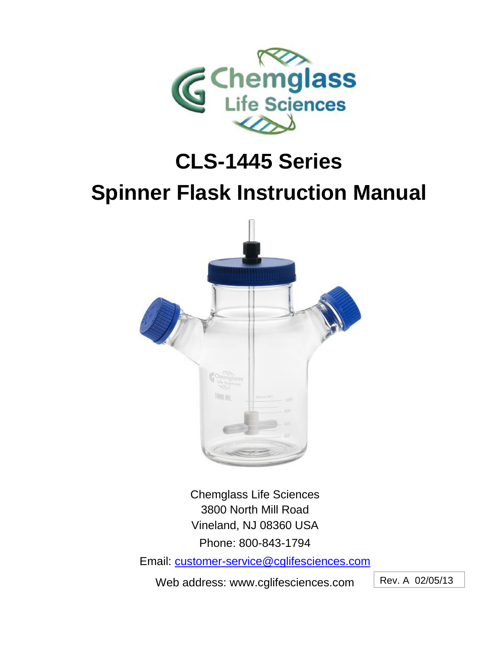

# **CLS-1445 Series**

# **Spinner Flask Instruction Manual**



Chemglass Life Sciences 3800 North Mill Road Vineland, NJ 08360 USA Phone: 800-843-1794

Email: [customer-service@cglifesciences.com](mailto:customer-service@cglifesciences.com)

Web address: www.cglifesciences.com

Rev. A 02/05/13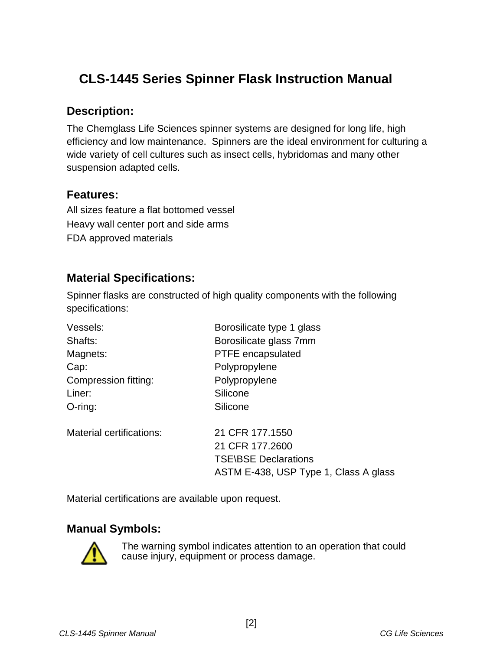## **CLS-1445 Series Spinner Flask Instruction Manual**

#### **Description:**

The Chemglass Life Sciences spinner systems are designed for long life, high efficiency and low maintenance. Spinners are the ideal environment for culturing a wide variety of cell cultures such as insect cells, hybridomas and many other suspension adapted cells.

#### **Features:**

All sizes feature a flat bottomed vessel Heavy wall center port and side arms FDA approved materials

## **Material Specifications:**

Spinner flasks are constructed of high quality components with the following specifications:

| Vessels:                 | Borosilicate type 1 glass             |
|--------------------------|---------------------------------------|
| Shafts:                  | Borosilicate glass 7mm                |
| Magnets:                 | PTFE encapsulated                     |
| Cap:                     | Polypropylene                         |
| Compression fitting:     | Polypropylene                         |
| Liner:                   | Silicone                              |
| $O$ -ring:               | Silicone                              |
| Material certifications: | 21 CFR 177,1550                       |
|                          | 21 CFR 177.2600                       |
|                          | <b>TSE\BSE Declarations</b>           |
|                          | ASTM E-438, USP Type 1, Class A glass |
|                          |                                       |

Material certifications are available upon request.

## **Manual Symbols:**



The warning symbol indicates attention to an operation that could cause injury, equipment or process damage.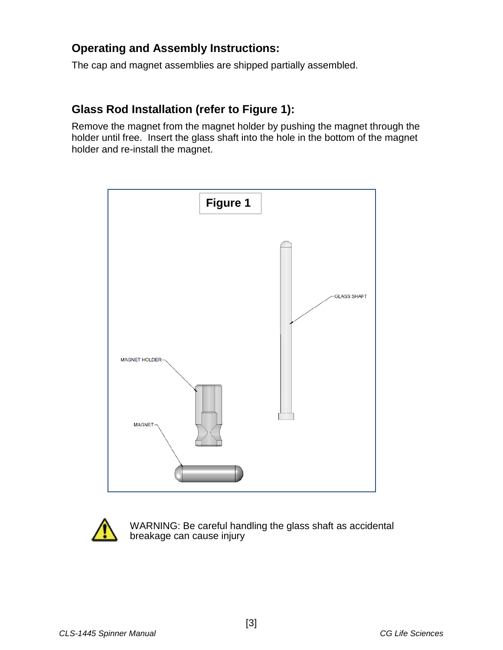### **Operating and Assembly Instructions:**

The cap and magnet assemblies are shipped partially assembled.

#### **Glass Rod Installation (refer to Figure 1):**

Remove the magnet from the magnet holder by pushing the magnet through the holder until free. Insert the glass shaft into the hole in the bottom of the magnet holder and re-install the magnet.





WARNING: Be careful handling the glass shaft as accidental breakage can cause injury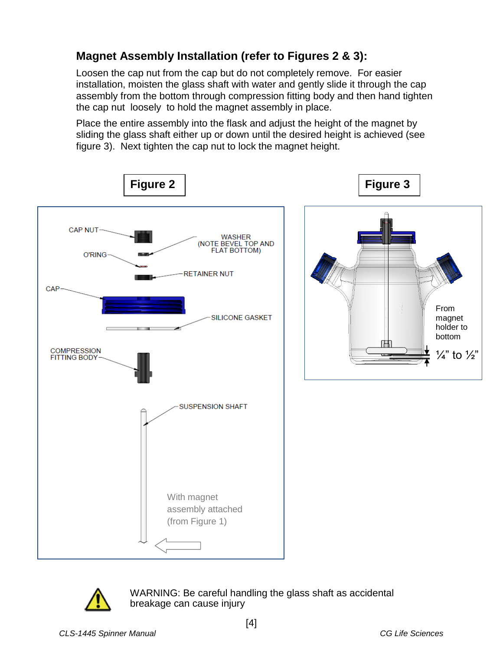## **Magnet Assembly Installation (refer to Figures 2 & 3):**

Loosen the cap nut from the cap but do not completely remove. For easier installation, moisten the glass shaft with water and gently slide it through the cap assembly from the bottom through compression fitting body and then hand tighten the cap nut loosely to hold the magnet assembly in place.

Place the entire assembly into the flask and adjust the height of the magnet by sliding the glass shaft either up or down until the desired height is achieved (see figure 3). Next tighten the cap nut to lock the magnet height.





WARNING: Be careful handling the glass shaft as accidental breakage can cause injury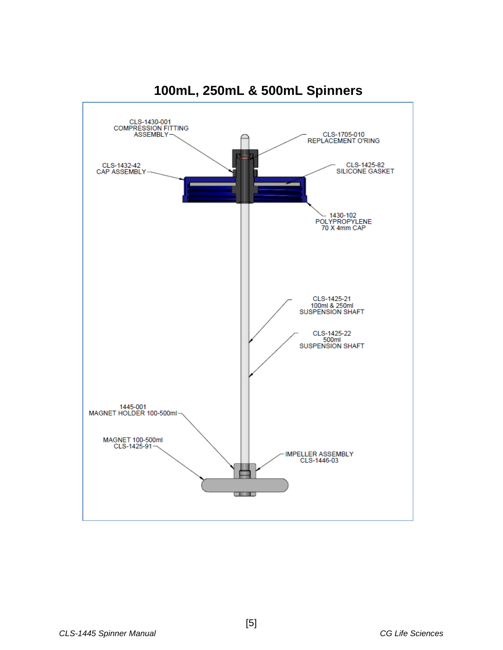

**100mL, 250mL & 500mL Spinners**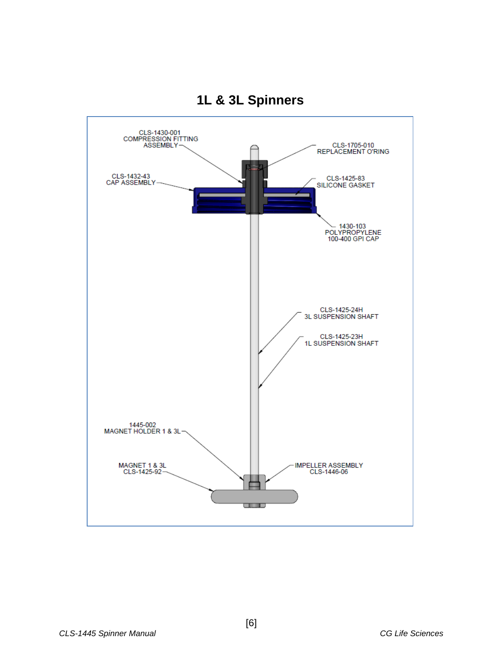

## **1L & 3L Spinners**

[6]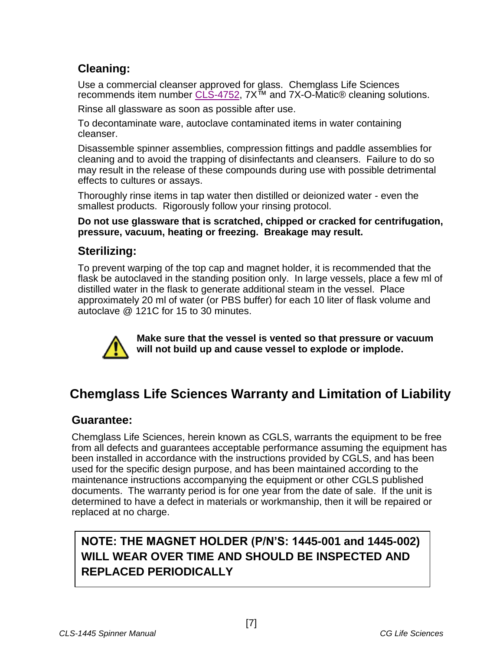## **Cleaning:**

Use a commercial cleanser approved for glass. Chemglass Life Sciences recommends item number [CLS-4752,](http://www.chemglass.com/product_view.asp?pnr=CLS-4752) 7X™ and 7X-O-Matic® cleaning solutions.

Rinse all glassware as soon as possible after use.

To decontaminate ware, autoclave contaminated items in water containing cleanser.

Disassemble spinner assemblies, compression fittings and paddle assemblies for cleaning and to avoid the trapping of disinfectants and cleansers. Failure to do so may result in the release of these compounds during use with possible detrimental effects to cultures or assays.

Thoroughly rinse items in tap water then distilled or deionized water - even the smallest products. Rigorously follow your rinsing protocol.

**Do not use glassware that is scratched, chipped or cracked for centrifugation, pressure, vacuum, heating or freezing. Breakage may result.**

### **Sterilizing:**

To prevent warping of the top cap and magnet holder, it is recommended that the flask be autoclaved in the standing position only. In large vessels, place a few ml of distilled water in the flask to generate additional steam in the vessel. Place approximately 20 ml of water (or PBS buffer) for each 10 liter of flask volume and autoclave @ 121C for 15 to 30 minutes.



**Make sure that the vessel is vented so that pressure or vacuum will not build up and cause vessel to explode or implode.**

## **Chemglass Life Sciences Warranty and Limitation of Liability**

#### **Guarantee:**

Chemglass Life Sciences, herein known as CGLS, warrants the equipment to be free from all defects and guarantees acceptable performance assuming the equipment has been installed in accordance with the instructions provided by CGLS, and has been used for the specific design purpose, and has been maintained according to the maintenance instructions accompanying the equipment or other CGLS published documents. The warranty period is for one year from the date of sale. If the unit is determined to have a defect in materials or workmanship, then it will be repaired or replaced at no charge.

## **NOTE: THE MAGNET HOLDER (P/N'S: 1445-001 and 1445-002) WILL WEAR OVER TIME AND SHOULD BE INSPECTED AND REPLACED PERIODICALLY**